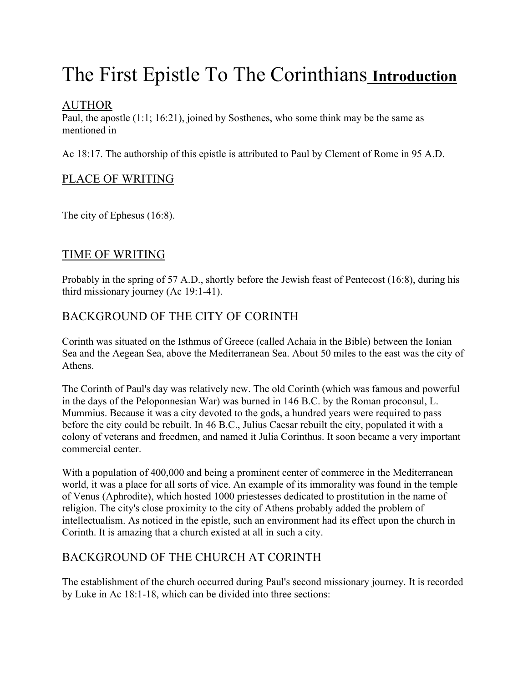# The First Epistle To The Corinthians **Introduction**

# AUTHOR

Paul, the apostle (1:1; 16:21), joined by Sosthenes, who some think may be the same as mentioned in

Ac 18:17. The authorship of this epistle is attributed to Paul by Clement of Rome in 95 A.D.

# PLACE OF WRITING

The city of Ephesus (16:8).

# TIME OF WRITING

Probably in the spring of 57 A.D., shortly before the Jewish feast of Pentecost (16:8), during his third missionary journey (Ac 19:1-41).

# BACKGROUND OF THE CITY OF CORINTH

Corinth was situated on the Isthmus of Greece (called Achaia in the Bible) between the Ionian Sea and the Aegean Sea, above the Mediterranean Sea. About 50 miles to the east was the city of Athens.

The Corinth of Paul's day was relatively new. The old Corinth (which was famous and powerful in the days of the Peloponnesian War) was burned in 146 B.C. by the Roman proconsul, L. Mummius. Because it was a city devoted to the gods, a hundred years were required to pass before the city could be rebuilt. In 46 B.C., Julius Caesar rebuilt the city, populated it with a colony of veterans and freedmen, and named it Julia Corinthus. It soon became a very important commercial center.

With a population of 400,000 and being a prominent center of commerce in the Mediterranean world, it was a place for all sorts of vice. An example of its immorality was found in the temple of Venus (Aphrodite), which hosted 1000 priestesses dedicated to prostitution in the name of religion. The city's close proximity to the city of Athens probably added the problem of intellectualism. As noticed in the epistle, such an environment had its effect upon the church in Corinth. It is amazing that a church existed at all in such a city.

# BACKGROUND OF THE CHURCH AT CORINTH

The establishment of the church occurred during Paul's second missionary journey. It is recorded by Luke in Ac 18:1-18, which can be divided into three sections: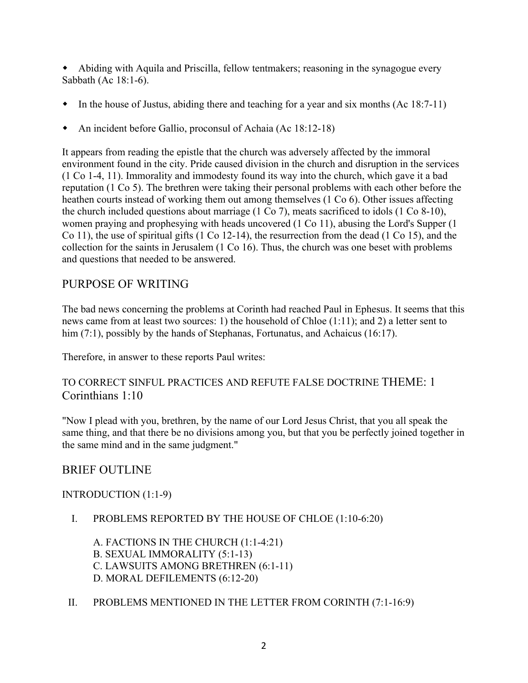w Abiding with Aquila and Priscilla, fellow tentmakers; reasoning in the synagogue every Sabbath (Ac 18:1-6).

- $\bullet$  In the house of Justus, abiding there and teaching for a year and six months (Ac 18:7-11)
- An incident before Gallio, proconsul of Achaia (Ac 18:12-18)

It appears from reading the epistle that the church was adversely affected by the immoral environment found in the city. Pride caused division in the church and disruption in the services (1 Co 1-4, 11). Immorality and immodesty found its way into the church, which gave it a bad reputation (1 Co 5). The brethren were taking their personal problems with each other before the heathen courts instead of working them out among themselves (1 Co 6). Other issues affecting the church included questions about marriage (1 Co 7), meats sacrificed to idols (1 Co 8-10), women praying and prophesying with heads uncovered (1 Co 11), abusing the Lord's Supper (1 Co 11), the use of spiritual gifts (1 Co 12-14), the resurrection from the dead (1 Co 15), and the collection for the saints in Jerusalem (1 Co 16). Thus, the church was one beset with problems and questions that needed to be answered.

# PURPOSE OF WRITING

The bad news concerning the problems at Corinth had reached Paul in Ephesus. It seems that this news came from at least two sources: 1) the household of Chloe (1:11); and 2) a letter sent to him (7:1), possibly by the hands of Stephanas, Fortunatus, and Achaicus (16:17).

Therefore, in answer to these reports Paul writes:

## TO CORRECT SINFUL PRACTICES AND REFUTE FALSE DOCTRINE THEME: 1 Corinthians 1:10

"Now I plead with you, brethren, by the name of our Lord Jesus Christ, that you all speak the same thing, and that there be no divisions among you, but that you be perfectly joined together in the same mind and in the same judgment."

## BRIEF OUTLINE

### INTRODUCTION (1:1-9)

I. PROBLEMS REPORTED BY THE HOUSE OF CHLOE (1:10-6:20)

A. FACTIONS IN THE CHURCH (1:1-4:21) B. SEXUAL IMMORALITY (5:1-13) C. LAWSUITS AMONG BRETHREN (6:1-11) D. MORAL DEFILEMENTS (6:12-20)

II. PROBLEMS MENTIONED IN THE LETTER FROM CORINTH (7:1-16:9)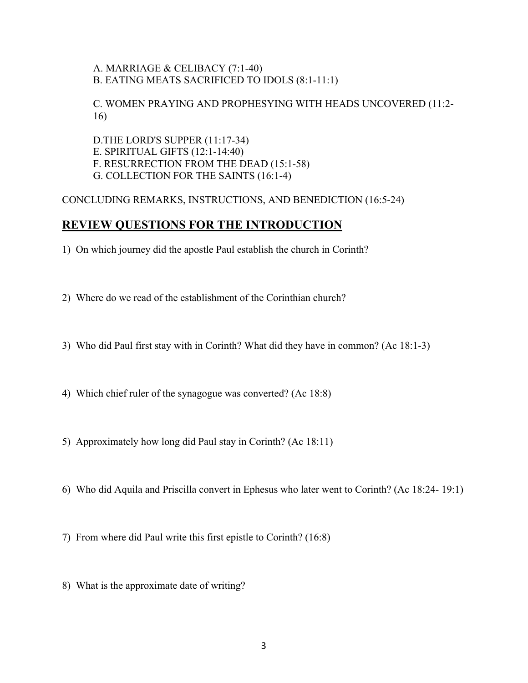### A. MARRIAGE & CELIBACY (7:1-40) B. EATING MEATS SACRIFICED TO IDOLS (8:1-11:1)

### C. WOMEN PRAYING AND PROPHESYING WITH HEADS UNCOVERED (11:2- 16)

D.THE LORD'S SUPPER (11:17-34) E. SPIRITUAL GIFTS (12:1-14:40) F. RESURRECTION FROM THE DEAD (15:1-58) G. COLLECTION FOR THE SAINTS (16:1-4)

#### CONCLUDING REMARKS, INSTRUCTIONS, AND BENEDICTION (16:5-24)

## **REVIEW QUESTIONS FOR THE INTRODUCTION**

- 1) On which journey did the apostle Paul establish the church in Corinth?
- 2) Where do we read of the establishment of the Corinthian church?
- 3) Who did Paul first stay with in Corinth? What did they have in common? (Ac 18:1-3)
- 4) Which chief ruler of the synagogue was converted? (Ac 18:8)
- 5) Approximately how long did Paul stay in Corinth? (Ac 18:11)
- 6) Who did Aquila and Priscilla convert in Ephesus who later went to Corinth? (Ac 18:24- 19:1)
- 7) From where did Paul write this first epistle to Corinth? (16:8)
- 8) What is the approximate date of writing?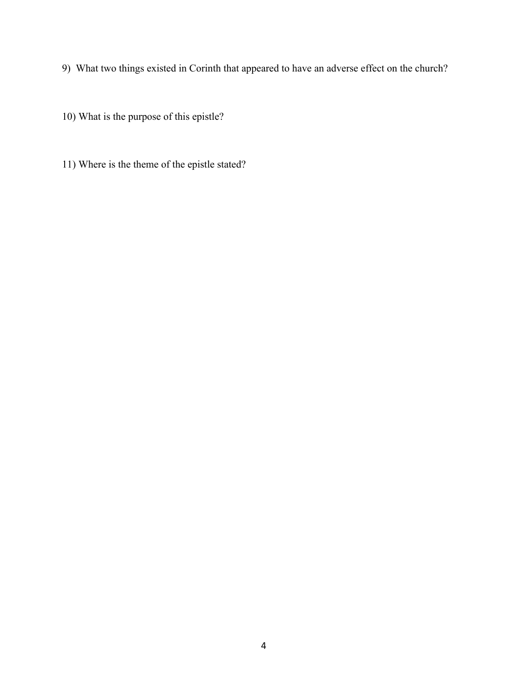- 9) What two things existed in Corinth that appeared to have an adverse effect on the church?
- 10) What is the purpose of this epistle?
- 11) Where is the theme of the epistle stated?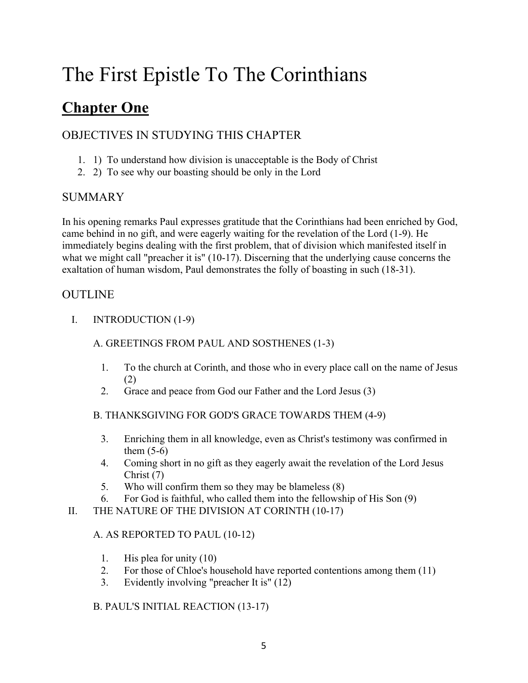# **Chapter One**

# OBJECTIVES IN STUDYING THIS CHAPTER

- 1. 1) To understand how division is unacceptable is the Body of Christ
- 2. 2) To see why our boasting should be only in the Lord

# SUMMARY

In his opening remarks Paul expresses gratitude that the Corinthians had been enriched by God, came behind in no gift, and were eagerly waiting for the revelation of the Lord (1-9). He immediately begins dealing with the first problem, that of division which manifested itself in what we might call "preacher it is" (10-17). Discerning that the underlying cause concerns the exaltation of human wisdom, Paul demonstrates the folly of boasting in such (18-31).

## OUTLINE

I. INTRODUCTION (1-9)

### A. GREETINGS FROM PAUL AND SOSTHENES (1-3)

- 1. To the church at Corinth, and those who in every place call on the name of Jesus (2)
- 2. Grace and peace from God our Father and the Lord Jesus (3)

### B. THANKSGIVING FOR GOD'S GRACE TOWARDS THEM (4-9)

- 3. Enriching them in all knowledge, even as Christ's testimony was confirmed in them  $(5-6)$
- 4. Coming short in no gift as they eagerly await the revelation of the Lord Jesus Christ (7)
- 5. Who will confirm them so they may be blameless (8)
- 6. For God is faithful, who called them into the fellowship of His Son (9)
- II. THE NATURE OF THE DIVISION AT CORINTH (10-17)

### A. AS REPORTED TO PAUL (10-12)

- 1. His plea for unity (10)
- 2. For those of Chloe's household have reported contentions among them (11)
- 3. Evidently involving "preacher It is" (12)

### B. PAUL'S INITIAL REACTION (13-17)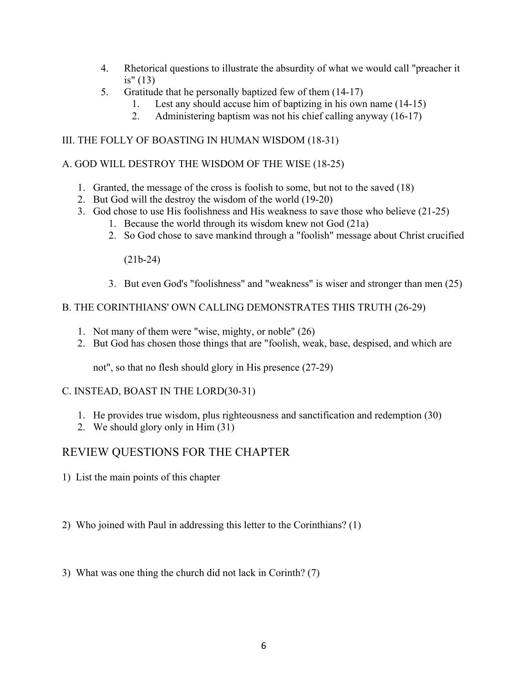- 4. Rhetorical questions to illustrate the absurdity of what we would call "preacher it is" (13)
- 5. Gratitude that he personally baptized few of them (14-17)
	- 1. Lest any should accuse him of baptizing in his own name (14-15)
	- 2. Administering baptism was not his chief calling anyway (16-17)

### III. THE FOLLY OF BOASTING IN HUMAN WISDOM (18-31)

### A. GOD WILL DESTROY THE WISDOM OF THE WISE (18-25)

- 1. Granted, the message of the cross is foolish to some, but not to the saved (18)
- 2. But God will the destroy the wisdom of the world (19-20)
- 3. God chose to use His foolishness and His weakness to save those who believe (21-25)
	- 1. Because the world through its wisdom knew not God (21a)
		- 2. So God chose to save mankind through a "foolish" message about Christ crucified

(21b-24)

3. But even God's "foolishness" and "weakness" is wiser and stronger than men (25)

### B. THE CORINTHIANS' OWN CALLING DEMONSTRATES THIS TRUTH (26-29)

- 1. Not many of them were "wise, mighty, or noble" (26)
- 2. But God has chosen those things that are "foolish, weak, base, despised, and which are

not", so that no flesh should glory in His presence (27-29)

### C. INSTEAD, BOAST IN THE LORD(30-31)

- 1. He provides true wisdom, plus righteousness and sanctification and redemption (30)
- 2. We should glory only in Him (31)

# REVIEW QUESTIONS FOR THE CHAPTER

1) List the main points of this chapter

2) Who joined with Paul in addressing this letter to the Corinthians? (1)

3) What was one thing the church did not lack in Corinth? (7)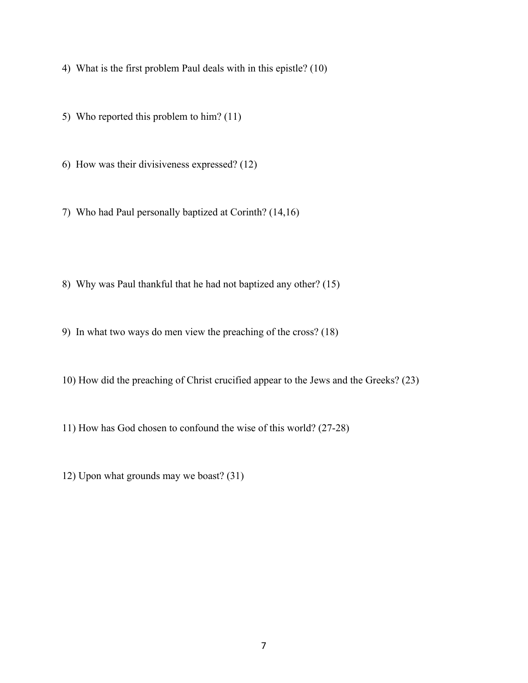4) What is the first problem Paul deals with in this epistle? (10)

5) Who reported this problem to him? (11)

6) How was their divisiveness expressed? (12)

7) Who had Paul personally baptized at Corinth? (14,16)

8) Why was Paul thankful that he had not baptized any other? (15)

9) In what two ways do men view the preaching of the cross? (18)

10) How did the preaching of Christ crucified appear to the Jews and the Greeks? (23)

11) How has God chosen to confound the wise of this world? (27-28)

12) Upon what grounds may we boast? (31)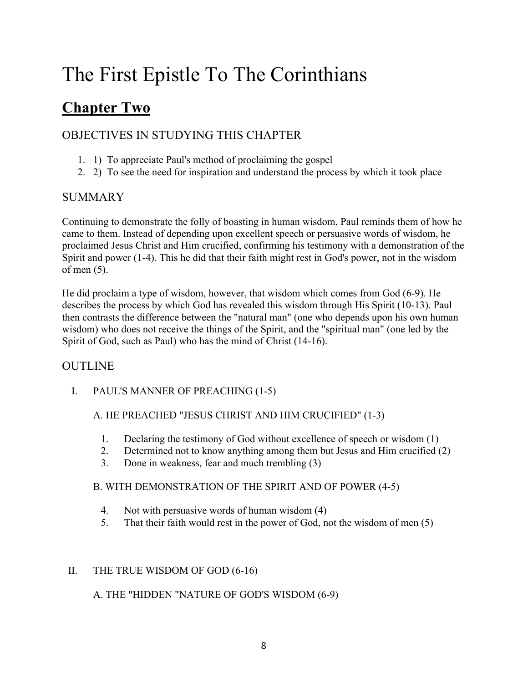# **Chapter Two**

# OBJECTIVES IN STUDYING THIS CHAPTER

- 1. 1) To appreciate Paul's method of proclaiming the gospel
- 2. 2) To see the need for inspiration and understand the process by which it took place

# SUMMARY

Continuing to demonstrate the folly of boasting in human wisdom, Paul reminds them of how he came to them. Instead of depending upon excellent speech or persuasive words of wisdom, he proclaimed Jesus Christ and Him crucified, confirming his testimony with a demonstration of the Spirit and power (1-4). This he did that their faith might rest in God's power, not in the wisdom of men (5).

He did proclaim a type of wisdom, however, that wisdom which comes from God (6-9). He describes the process by which God has revealed this wisdom through His Spirit (10-13). Paul then contrasts the difference between the "natural man" (one who depends upon his own human wisdom) who does not receive the things of the Spirit, and the "spiritual man" (one led by the Spirit of God, such as Paul) who has the mind of Christ (14-16).

# OUTLINE

I. PAUL'S MANNER OF PREACHING (1-5)

## A. HE PREACHED "JESUS CHRIST AND HIM CRUCIFIED" (1-3)

- 1. Declaring the testimony of God without excellence of speech or wisdom (1)
- 2. Determined not to know anything among them but Jesus and Him crucified (2)
- 3. Done in weakness, fear and much trembling (3)

### B. WITH DEMONSTRATION OF THE SPIRIT AND OF POWER (4-5)

- 4. Not with persuasive words of human wisdom (4)
- 5. That their faith would rest in the power of God, not the wisdom of men (5)

### II. THE TRUE WISDOM OF GOD (6-16)

### A. THE "HIDDEN "NATURE OF GOD'S WISDOM (6-9)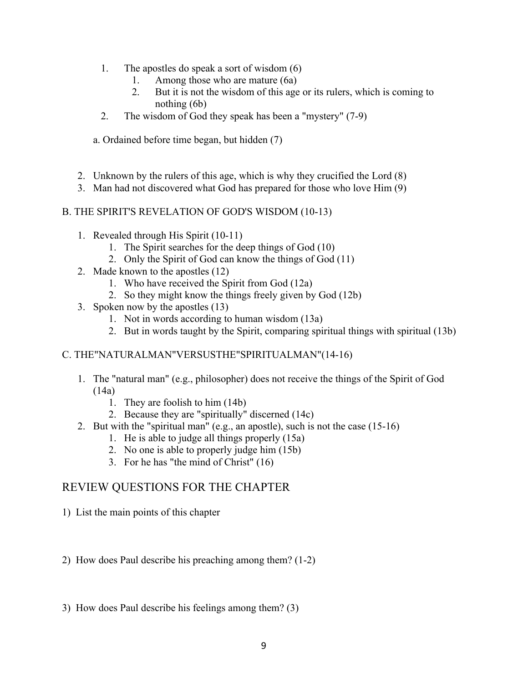- 1. The apostles do speak a sort of wisdom (6)
	- 1. Among those who are mature (6a)
	- 2. But it is not the wisdom of this age or its rulers, which is coming to nothing (6b)
- 2. The wisdom of God they speak has been a "mystery" (7-9)

a. Ordained before time began, but hidden (7)

- 2. Unknown by the rulers of this age, which is why they crucified the Lord (8)
- 3. Man had not discovered what God has prepared for those who love Him (9)

#### B. THE SPIRIT'S REVELATION OF GOD'S WISDOM (10-13)

- 1. Revealed through His Spirit (10-11)
	- 1. The Spirit searches for the deep things of God (10)
	- 2. Only the Spirit of God can know the things of God (11)
- 2. Made known to the apostles (12)
	- 1. Who have received the Spirit from God (12a)
	- 2. So they might know the things freely given by God (12b)
- 3. Spoken now by the apostles (13)
	- 1. Not in words according to human wisdom (13a)
	- 2. But in words taught by the Spirit, comparing spiritual things with spiritual (13b)

#### C. THE"NATURALMAN"VERSUSTHE"SPIRITUALMAN"(14-16)

- 1. The "natural man" (e.g., philosopher) does not receive the things of the Spirit of God (14a)
	- 1. They are foolish to him (14b)
	- 2. Because they are "spiritually" discerned (14c)
- 2. But with the "spiritual man" (e.g., an apostle), such is not the case (15-16)
	- 1. He is able to judge all things properly (15a)
	- 2. No one is able to properly judge him (15b)
	- 3. For he has "the mind of Christ" (16)

## REVIEW QUESTIONS FOR THE CHAPTER

1) List the main points of this chapter

2) How does Paul describe his preaching among them? (1-2)

3) How does Paul describe his feelings among them? (3)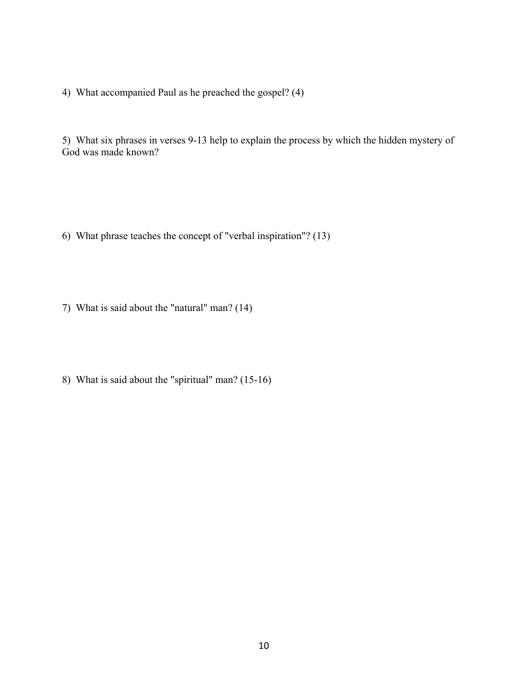4) What accompanied Paul as he preached the gospel? (4)

5) What six phrases in verses 9-13 help to explain the process by which the hidden mystery of God was made known?

- 6) What phrase teaches the concept of "verbal inspiration"? (13)
- 7) What is said about the "natural" man? (14)
- 8) What is said about the "spiritual" man? (15-16)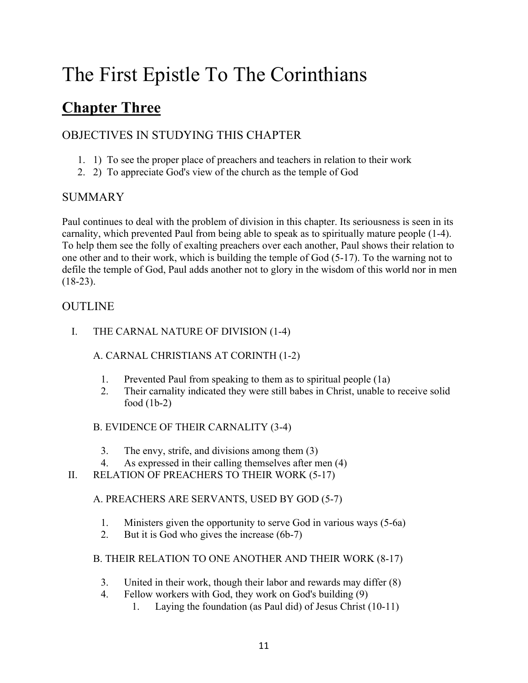# **Chapter Three**

# OBJECTIVES IN STUDYING THIS CHAPTER

- 1. 1) To see the proper place of preachers and teachers in relation to their work
- 2. 2) To appreciate God's view of the church as the temple of God

## SUMMARY

Paul continues to deal with the problem of division in this chapter. Its seriousness is seen in its carnality, which prevented Paul from being able to speak as to spiritually mature people (1-4). To help them see the folly of exalting preachers over each another, Paul shows their relation to one other and to their work, which is building the temple of God (5-17). To the warning not to defile the temple of God, Paul adds another not to glory in the wisdom of this world nor in men  $(18-23)$ .

# OUTLINE

I. THE CARNAL NATURE OF DIVISION (1-4)

## A. CARNAL CHRISTIANS AT CORINTH (1-2)

- 1. Prevented Paul from speaking to them as to spiritual people (1a)
- 2. Their carnality indicated they were still babes in Christ, unable to receive solid food (1b-2)

## B. EVIDENCE OF THEIR CARNALITY (3-4)

- 3. The envy, strife, and divisions among them (3)
- 4. As expressed in their calling themselves after men (4)
- II. RELATION OF PREACHERS TO THEIR WORK (5-17)

## A. PREACHERS ARE SERVANTS, USED BY GOD (5-7)

- 1. Ministers given the opportunity to serve God in various ways (5-6a)
- 2. But it is God who gives the increase (6b-7)

### B. THEIR RELATION TO ONE ANOTHER AND THEIR WORK (8-17)

- 3. United in their work, though their labor and rewards may differ (8)
- 4. Fellow workers with God, they work on God's building (9)
	- 1. Laying the foundation (as Paul did) of Jesus Christ (10-11)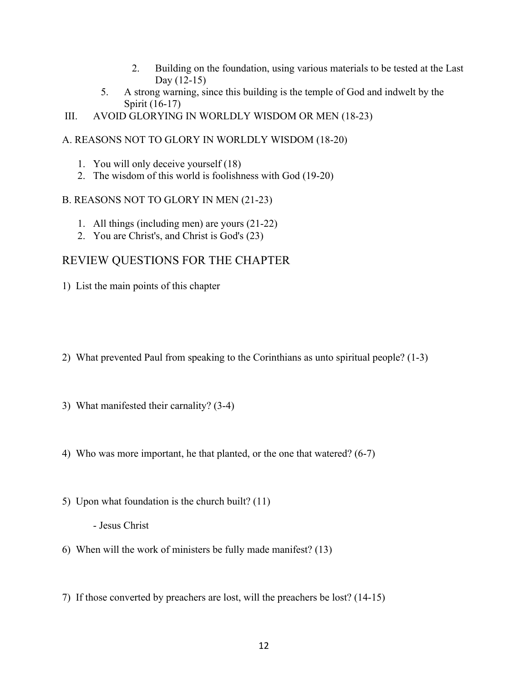- 2. Building on the foundation, using various materials to be tested at the Last Day (12-15)
- 5. A strong warning, since this building is the temple of God and indwelt by the Spirit (16-17)

III. AVOID GLORYING IN WORLDLY WISDOM OR MEN (18-23)

### A. REASONS NOT TO GLORY IN WORLDLY WISDOM (18-20)

- 1. You will only deceive yourself (18)
- 2. The wisdom of this world is foolishness with God (19-20)

### B. REASONS NOT TO GLORY IN MEN (21-23)

- 1. All things (including men) are yours (21-22)
- 2. You are Christ's, and Christ is God's (23)

# REVIEW QUESTIONS FOR THE CHAPTER

1) List the main points of this chapter

- 2) What prevented Paul from speaking to the Corinthians as unto spiritual people? (1-3)
- 3) What manifested their carnality? (3-4)
- 4) Who was more important, he that planted, or the one that watered? (6-7)
- 5) Upon what foundation is the church built? (11)

- Jesus Christ

- 6) When will the work of ministers be fully made manifest? (13)
- 7) If those converted by preachers are lost, will the preachers be lost? (14-15)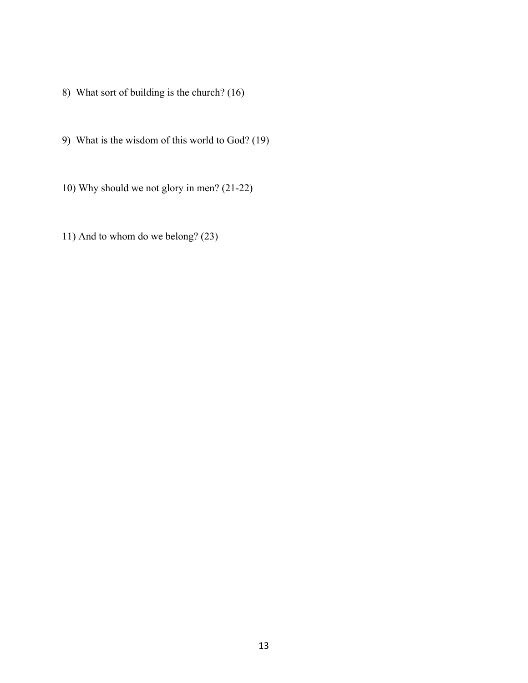- 8) What sort of building is the church? (16)
- 9) What is the wisdom of this world to God? (19)
- 10) Why should we not glory in men? (21-22)
- 11) And to whom do we belong? (23)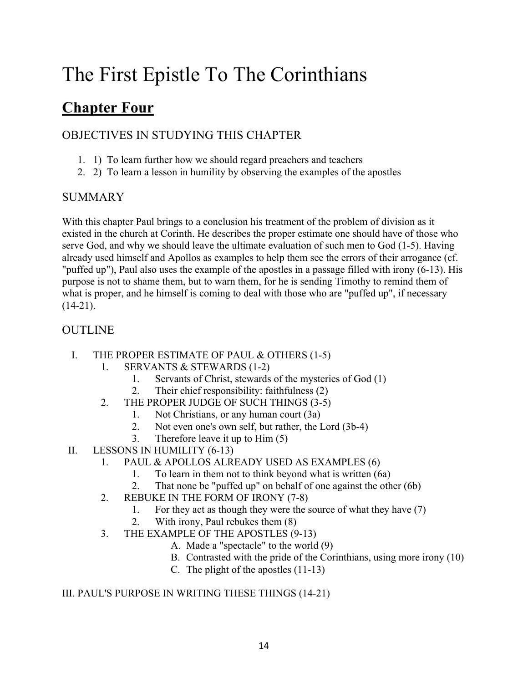# **Chapter Four**

# OBJECTIVES IN STUDYING THIS CHAPTER

- 1. 1) To learn further how we should regard preachers and teachers
- 2. 2) To learn a lesson in humility by observing the examples of the apostles

# SUMMARY

With this chapter Paul brings to a conclusion his treatment of the problem of division as it existed in the church at Corinth. He describes the proper estimate one should have of those who serve God, and why we should leave the ultimate evaluation of such men to God (1-5). Having already used himself and Apollos as examples to help them see the errors of their arrogance (cf. "puffed up"), Paul also uses the example of the apostles in a passage filled with irony (6-13). His purpose is not to shame them, but to warn them, for he is sending Timothy to remind them of what is proper, and he himself is coming to deal with those who are "puffed up", if necessary  $(14-21)$ .

# **OUTLINE**

- I. THE PROPER ESTIMATE OF PAUL & OTHERS (1-5)
	- 1. SERVANTS & STEWARDS (1-2)
		- 1. Servants of Christ, stewards of the mysteries of God (1)
		- 2. Their chief responsibility: faithfulness (2)
	- 2. THE PROPER JUDGE OF SUCH THINGS (3-5)
		- 1. Not Christians, or any human court (3a)
		- 2. Not even one's own self, but rather, the Lord (3b-4)
		- 3. Therefore leave it up to Him (5)
- II. LESSONS IN HUMILITY (6-13)
	- 1. PAUL & APOLLOS ALREADY USED AS EXAMPLES (6)
		- 1. To learn in them not to think beyond what is written (6a)
		- 2. That none be "puffed up" on behalf of one against the other (6b)
	- 2. REBUKE IN THE FORM OF IRONY (7-8)
		- 1. For they act as though they were the source of what they have (7)
		- 2. With irony, Paul rebukes them (8)
	- 3. THE EXAMPLE OF THE APOSTLES (9-13)
		- A. Made a "spectacle" to the world (9)
		- B. Contrasted with the pride of the Corinthians, using more irony (10)
		- C. The plight of the apostles (11-13)

## III. PAUL'S PURPOSE IN WRITING THESE THINGS (14-21)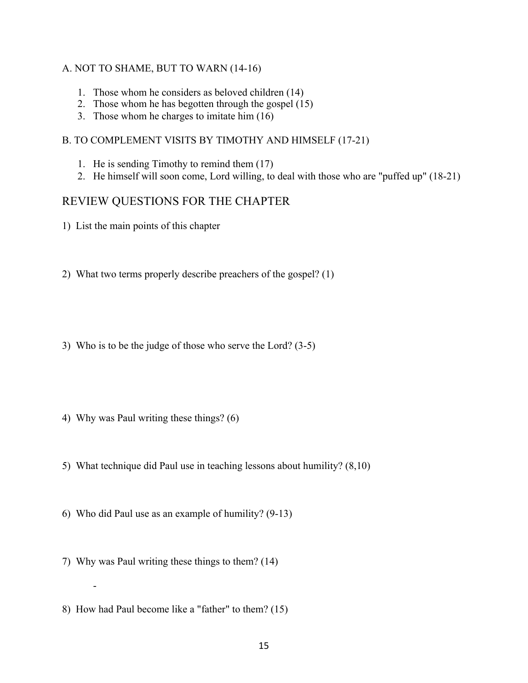#### A. NOT TO SHAME, BUT TO WARN (14-16)

- 1. Those whom he considers as beloved children (14)
- 2. Those whom he has begotten through the gospel (15)
- 3. Those whom he charges to imitate him (16)

#### B. TO COMPLEMENT VISITS BY TIMOTHY AND HIMSELF (17-21)

- 1. He is sending Timothy to remind them (17)
- 2. He himself will soon come, Lord willing, to deal with those who are "puffed up" (18-21)

## REVIEW QUESTIONS FOR THE CHAPTER

- 1) List the main points of this chapter
- 2) What two terms properly describe preachers of the gospel? (1)
- 3) Who is to be the judge of those who serve the Lord? (3-5)
- 4) Why was Paul writing these things? (6)
- 5) What technique did Paul use in teaching lessons about humility? (8,10)
- 6) Who did Paul use as an example of humility? (9-13)
- 7) Why was Paul writing these things to them? (14)

-

8) How had Paul become like a "father" to them? (15)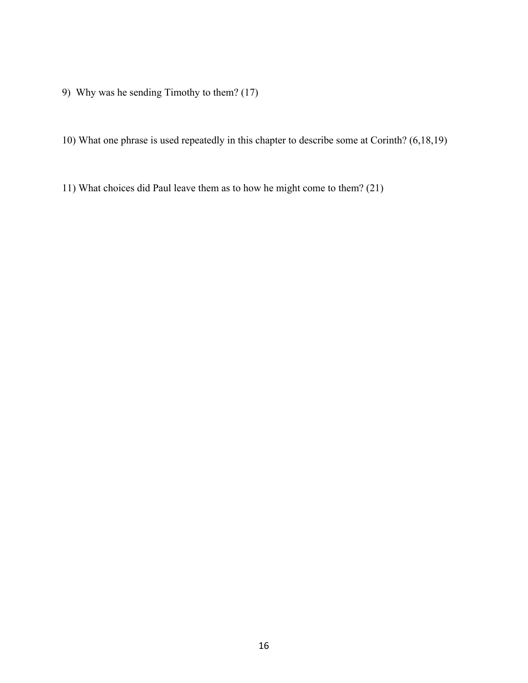- 9) Why was he sending Timothy to them? (17)
- 10) What one phrase is used repeatedly in this chapter to describe some at Corinth? (6,18,19)
- 11) What choices did Paul leave them as to how he might come to them? (21)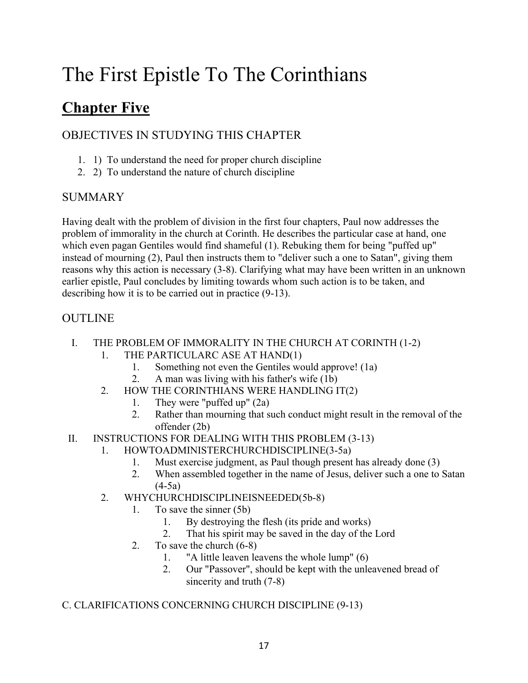# **Chapter Five**

# OBJECTIVES IN STUDYING THIS CHAPTER

- 1. 1) To understand the need for proper church discipline
- 2. 2) To understand the nature of church discipline

# SUMMARY

Having dealt with the problem of division in the first four chapters, Paul now addresses the problem of immorality in the church at Corinth. He describes the particular case at hand, one which even pagan Gentiles would find shameful (1). Rebuking them for being "puffed up" instead of mourning (2), Paul then instructs them to "deliver such a one to Satan", giving them reasons why this action is necessary (3-8). Clarifying what may have been written in an unknown earlier epistle, Paul concludes by limiting towards whom such action is to be taken, and describing how it is to be carried out in practice (9-13).

# OUTLINE

- I. THE PROBLEM OF IMMORALITY IN THE CHURCH AT CORINTH (1-2)
	- 1. THE PARTICULARC ASE AT HAND(1)
		- 1. Something not even the Gentiles would approve! (1a)
		- 2. A man was living with his father's wife (1b)
	- 2. HOW THE CORINTHIANS WERE HANDLING IT(2)
		- 1. They were "puffed up" (2a)
		- 2. Rather than mourning that such conduct might result in the removal of the offender (2b)
- II. INSTRUCTIONS FOR DEALING WITH THIS PROBLEM (3-13)
	- 1. HOWTOADMINISTERCHURCHDISCIPLINE(3-5a)
		- 1. Must exercise judgment, as Paul though present has already done (3)
		- 2. When assembled together in the name of Jesus, deliver such a one to Satan  $(4-5a)$
	- 2. WHYCHURCHDISCIPLINEISNEEDED(5b-8)
		- 1. To save the sinner (5b)
			- 1. By destroying the flesh (its pride and works)
			- 2. That his spirit may be saved in the day of the Lord
		- 2. To save the church (6-8)
			- 1. "A little leaven leavens the whole lump" (6)
			- 2. Our "Passover", should be kept with the unleavened bread of sincerity and truth (7-8)
- C. CLARIFICATIONS CONCERNING CHURCH DISCIPLINE (9-13)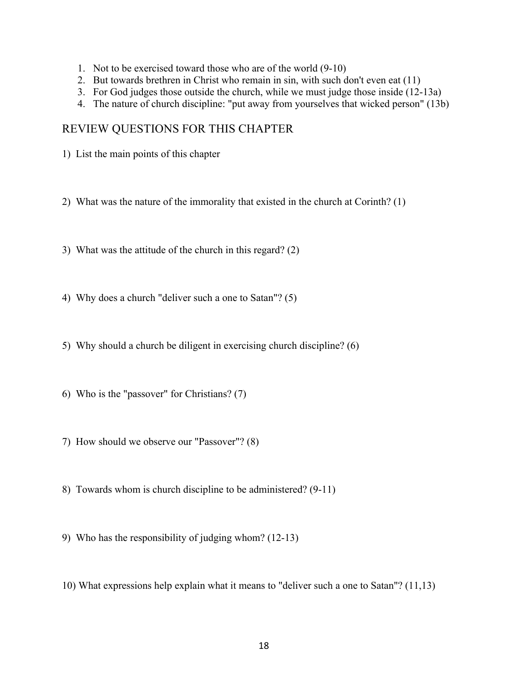- 1. Not to be exercised toward those who are of the world (9-10)
- 2. But towards brethren in Christ who remain in sin, with such don't even eat (11)
- 3. For God judges those outside the church, while we must judge those inside (12-13a)
- 4. The nature of church discipline: "put away from yourselves that wicked person" (13b)

## REVIEW QUESTIONS FOR THIS CHAPTER

1) List the main points of this chapter

2) What was the nature of the immorality that existed in the church at Corinth? (1)

- 3) What was the attitude of the church in this regard? (2)
- 4) Why does a church "deliver such a one to Satan"? (5)
- 5) Why should a church be diligent in exercising church discipline? (6)
- 6) Who is the "passover" for Christians? (7)
- 7) How should we observe our "Passover"? (8)
- 8) Towards whom is church discipline to be administered? (9-11)
- 9) Who has the responsibility of judging whom? (12-13)
- 10) What expressions help explain what it means to "deliver such a one to Satan"? (11,13)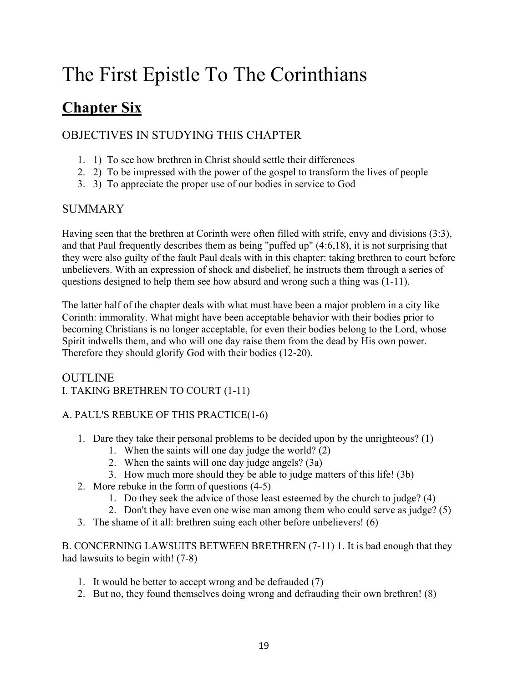# **Chapter Six**

# OBJECTIVES IN STUDYING THIS CHAPTER

- 1. 1) To see how brethren in Christ should settle their differences
- 2. 2) To be impressed with the power of the gospel to transform the lives of people
- 3. 3) To appreciate the proper use of our bodies in service to God

# SUMMARY

Having seen that the brethren at Corinth were often filled with strife, envy and divisions (3:3), and that Paul frequently describes them as being "puffed up" (4:6,18), it is not surprising that they were also guilty of the fault Paul deals with in this chapter: taking brethren to court before unbelievers. With an expression of shock and disbelief, he instructs them through a series of questions designed to help them see how absurd and wrong such a thing was (1-11).

The latter half of the chapter deals with what must have been a major problem in a city like Corinth: immorality. What might have been acceptable behavior with their bodies prior to becoming Christians is no longer acceptable, for even their bodies belong to the Lord, whose Spirit indwells them, and who will one day raise them from the dead by His own power. Therefore they should glorify God with their bodies (12-20).

### OUTLINE I. TAKING BRETHREN TO COURT (1-11)

## A. PAUL'S REBUKE OF THIS PRACTICE(1-6)

- 1. Dare they take their personal problems to be decided upon by the unrighteous? (1)
	- 1. When the saints will one day judge the world? (2)
	- 2. When the saints will one day judge angels? (3a)
	- 3. How much more should they be able to judge matters of this life! (3b)
- 2. More rebuke in the form of questions (4-5)
	- 1. Do they seek the advice of those least esteemed by the church to judge? (4)
	- 2. Don't they have even one wise man among them who could serve as judge? (5)
- 3. The shame of it all: brethren suing each other before unbelievers! (6)

B. CONCERNING LAWSUITS BETWEEN BRETHREN (7-11) 1. It is bad enough that they had lawsuits to begin with! (7-8)

- 1. It would be better to accept wrong and be defrauded (7)
- 2. But no, they found themselves doing wrong and defrauding their own brethren! (8)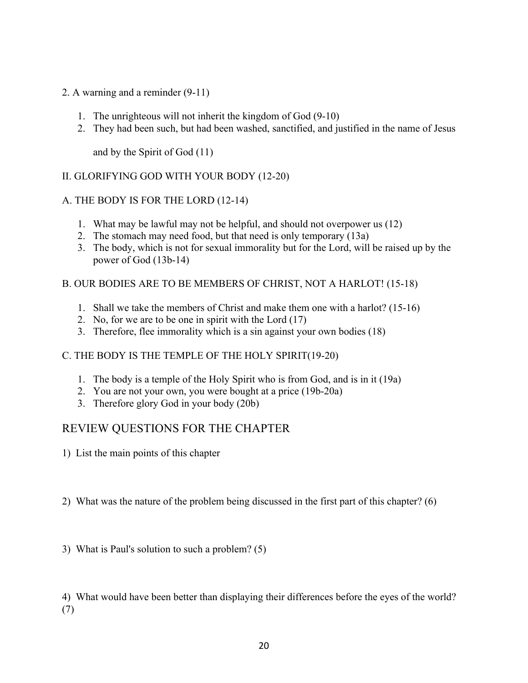- 2. A warning and a reminder (9-11)
	- 1. The unrighteous will not inherit the kingdom of God (9-10)
	- 2. They had been such, but had been washed, sanctified, and justified in the name of Jesus

and by the Spirit of God (11)

### II. GLORIFYING GOD WITH YOUR BODY (12-20)

### A. THE BODY IS FOR THE LORD (12-14)

- 1. What may be lawful may not be helpful, and should not overpower us (12)
- 2. The stomach may need food, but that need is only temporary (13a)
- 3. The body, which is not for sexual immorality but for the Lord, will be raised up by the power of God (13b-14)

#### B. OUR BODIES ARE TO BE MEMBERS OF CHRIST, NOT A HARLOT! (15-18)

- 1. Shall we take the members of Christ and make them one with a harlot? (15-16)
- 2. No, for we are to be one in spirit with the Lord (17)
- 3. Therefore, flee immorality which is a sin against your own bodies (18)

### C. THE BODY IS THE TEMPLE OF THE HOLY SPIRIT(19-20)

- 1. The body is a temple of the Holy Spirit who is from God, and is in it (19a)
- 2. You are not your own, you were bought at a price (19b-20a)
- 3. Therefore glory God in your body (20b)

## REVIEW QUESTIONS FOR THE CHAPTER

- 1) List the main points of this chapter
- 2) What was the nature of the problem being discussed in the first part of this chapter? (6)
- 3) What is Paul's solution to such a problem? (5)

4) What would have been better than displaying their differences before the eyes of the world? (7)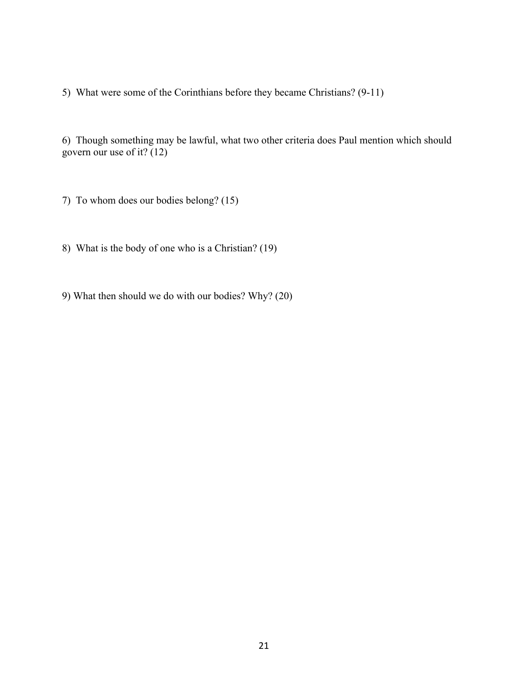5) What were some of the Corinthians before they became Christians? (9-11)

6) Though something may be lawful, what two other criteria does Paul mention which should govern our use of it? (12)

7) To whom does our bodies belong? (15)

8) What is the body of one who is a Christian? (19)

9) What then should we do with our bodies? Why? (20)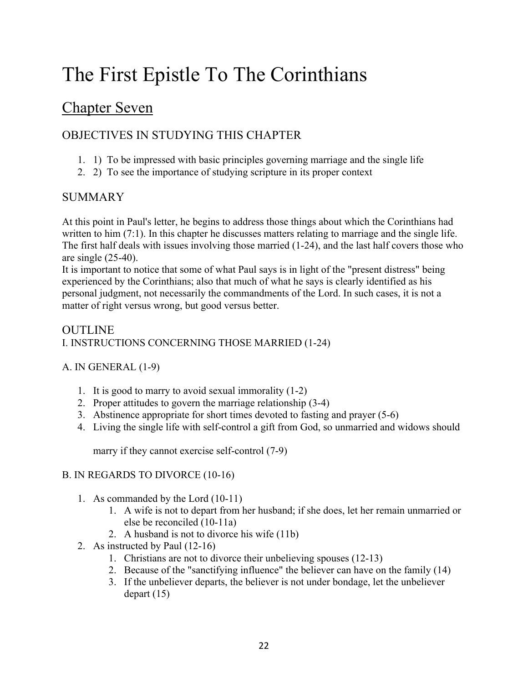# Chapter Seven

# OBJECTIVES IN STUDYING THIS CHAPTER

- 1. 1) To be impressed with basic principles governing marriage and the single life
- 2. 2) To see the importance of studying scripture in its proper context

# SUMMARY

At this point in Paul's letter, he begins to address those things about which the Corinthians had written to him (7:1). In this chapter he discusses matters relating to marriage and the single life. The first half deals with issues involving those married (1-24), and the last half covers those who are single (25-40).

It is important to notice that some of what Paul says is in light of the "present distress" being experienced by the Corinthians; also that much of what he says is clearly identified as his personal judgment, not necessarily the commandments of the Lord. In such cases, it is not a matter of right versus wrong, but good versus better.

### OUTLINE I. INSTRUCTIONS CONCERNING THOSE MARRIED (1-24)

## A. IN GENERAL (1-9)

- 1. It is good to marry to avoid sexual immorality (1-2)
- 2. Proper attitudes to govern the marriage relationship (3-4)
- 3. Abstinence appropriate for short times devoted to fasting and prayer (5-6)
- 4. Living the single life with self-control a gift from God, so unmarried and widows should

marry if they cannot exercise self-control (7-9)

### B. IN REGARDS TO DIVORCE (10-16)

- 1. As commanded by the Lord (10-11)
	- 1. A wife is not to depart from her husband; if she does, let her remain unmarried or else be reconciled (10-11a)
	- 2. A husband is not to divorce his wife (11b)
- 2. As instructed by Paul (12-16)
	- 1. Christians are not to divorce their unbelieving spouses (12-13)
	- 2. Because of the "sanctifying influence" the believer can have on the family (14)
	- 3. If the unbeliever departs, the believer is not under bondage, let the unbeliever depart (15)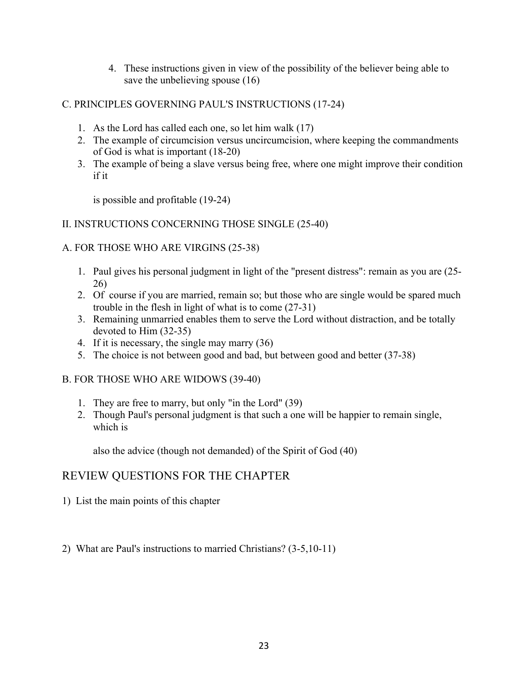- 4. These instructions given in view of the possibility of the believer being able to save the unbelieving spouse (16)
- C. PRINCIPLES GOVERNING PAUL'S INSTRUCTIONS (17-24)
	- 1. As the Lord has called each one, so let him walk (17)
	- 2. The example of circumcision versus uncircumcision, where keeping the commandments of God is what is important (18-20)
	- 3. The example of being a slave versus being free, where one might improve their condition if it

is possible and profitable (19-24)

### II. INSTRUCTIONS CONCERNING THOSE SINGLE (25-40)

### A. FOR THOSE WHO ARE VIRGINS (25-38)

- 1. Paul gives his personal judgment in light of the "present distress": remain as you are (25- 26)
- 2. Of course if you are married, remain so; but those who are single would be spared much trouble in the flesh in light of what is to come (27-31)
- 3. Remaining unmarried enables them to serve the Lord without distraction, and be totally devoted to Him (32-35)
- 4. If it is necessary, the single may marry (36)
- 5. The choice is not between good and bad, but between good and better (37-38)

### B. FOR THOSE WHO ARE WIDOWS (39-40)

- 1. They are free to marry, but only "in the Lord" (39)
- 2. Though Paul's personal judgment is that such a one will be happier to remain single, which is

also the advice (though not demanded) of the Spirit of God (40)

# REVIEW QUESTIONS FOR THE CHAPTER

- 1) List the main points of this chapter
- 2) What are Paul's instructions to married Christians? (3-5,10-11)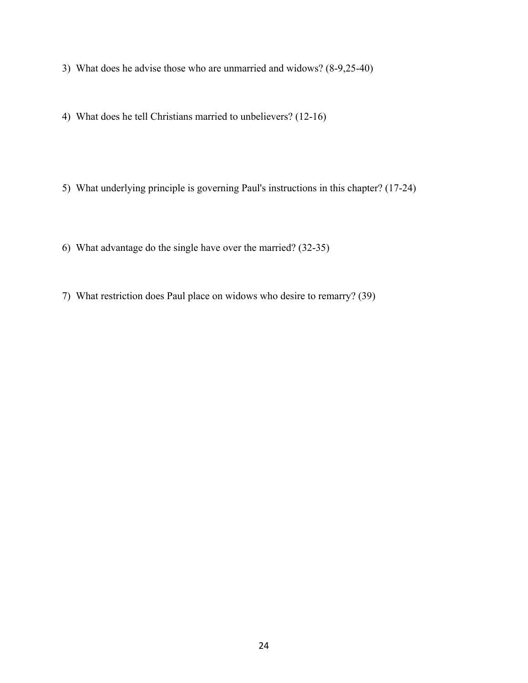- 3) What does he advise those who are unmarried and widows? (8-9,25-40)
- 4) What does he tell Christians married to unbelievers? (12-16)
- 5) What underlying principle is governing Paul's instructions in this chapter? (17-24)
- 6) What advantage do the single have over the married? (32-35)
- 7) What restriction does Paul place on widows who desire to remarry? (39)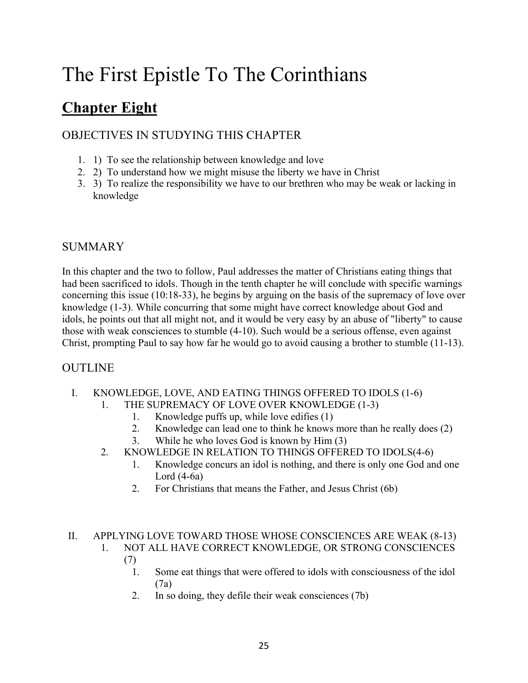# **Chapter Eight**

# OBJECTIVES IN STUDYING THIS CHAPTER

- 1. 1) To see the relationship between knowledge and love
- 2. 2) To understand how we might misuse the liberty we have in Christ
- 3. 3) To realize the responsibility we have to our brethren who may be weak or lacking in knowledge

## SUMMARY

In this chapter and the two to follow, Paul addresses the matter of Christians eating things that had been sacrificed to idols. Though in the tenth chapter he will conclude with specific warnings concerning this issue (10:18-33), he begins by arguing on the basis of the supremacy of love over knowledge (1-3). While concurring that some might have correct knowledge about God and idols, he points out that all might not, and it would be very easy by an abuse of "liberty" to cause those with weak consciences to stumble (4-10). Such would be a serious offense, even against Christ, prompting Paul to say how far he would go to avoid causing a brother to stumble (11-13).

## OUTLINE

- I. KNOWLEDGE, LOVE, AND EATING THINGS OFFERED TO IDOLS (1-6)
	- 1. THE SUPREMACY OF LOVE OVER KNOWLEDGE (1-3)
		- 1. Knowledge puffs up, while love edifies (1)
		- 2. Knowledge can lead one to think he knows more than he really does (2)
		- 3. While he who loves God is known by Him (3)
	- 2. KNOWLEDGE IN RELATION TO THINGS OFFERED TO IDOLS(4-6)
		- 1. Knowledge concurs an idol is nothing, and there is only one God and one Lord  $(4-6a)$
		- 2. For Christians that means the Father, and Jesus Christ (6b)

# II. APPLYING LOVE TOWARD THOSE WHOSE CONSCIENCES ARE WEAK (8-13)

- 1. NOT ALL HAVE CORRECT KNOWLEDGE, OR STRONG CONSCIENCES (7)
	- 1. Some eat things that were offered to idols with consciousness of the idol (7a)
	- 2. In so doing, they defile their weak consciences (7b)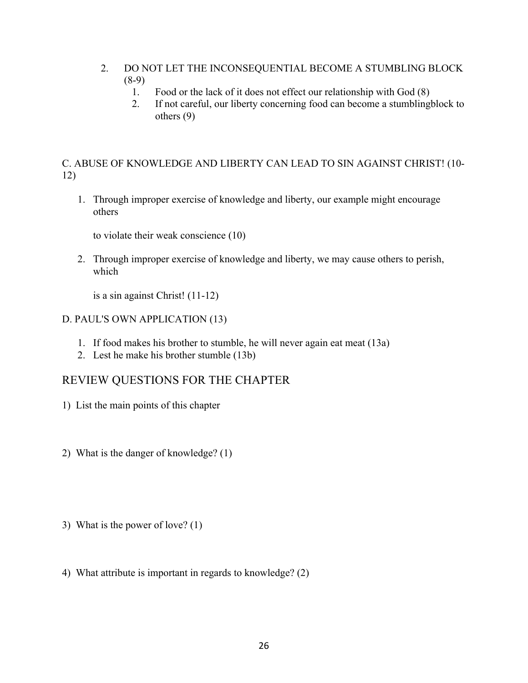- 2. DO NOT LET THE INCONSEQUENTIAL BECOME A STUMBLING BLOCK  $(8-9)$ 
	- 1. Food or the lack of it does not effect our relationship with God (8)
	- 2. If not careful, our liberty concerning food can become a stumblingblock to others (9)

C. ABUSE OF KNOWLEDGE AND LIBERTY CAN LEAD TO SIN AGAINST CHRIST! (10- 12)

1. Through improper exercise of knowledge and liberty, our example might encourage others

to violate their weak conscience (10)

2. Through improper exercise of knowledge and liberty, we may cause others to perish, which

is a sin against Christ! (11-12)

D. PAUL'S OWN APPLICATION (13)

- 1. If food makes his brother to stumble, he will never again eat meat (13a)
- 2. Lest he make his brother stumble (13b)

# REVIEW QUESTIONS FOR THE CHAPTER

- 1) List the main points of this chapter
- 2) What is the danger of knowledge? (1)
- 3) What is the power of love? (1)
- 4) What attribute is important in regards to knowledge? (2)